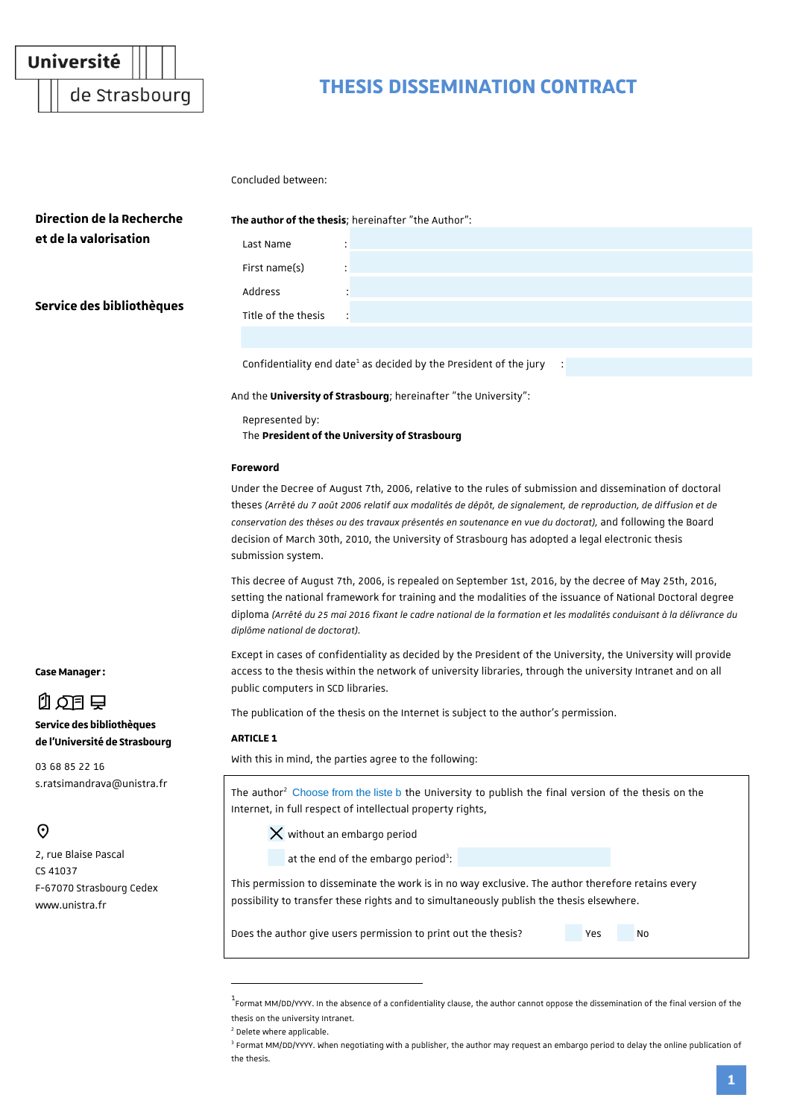

de Strasbourg

# **THESIS DISSEMINATION CONTRACT**

Concluded between:

| Direction de la Recherche                                                                                  | The author of the thesis; hereinafter "the Author":                                                                                                                                                                                                                                                                                                                                                                                                                   |  |
|------------------------------------------------------------------------------------------------------------|-----------------------------------------------------------------------------------------------------------------------------------------------------------------------------------------------------------------------------------------------------------------------------------------------------------------------------------------------------------------------------------------------------------------------------------------------------------------------|--|
| et de la valorisation                                                                                      | Last Name                                                                                                                                                                                                                                                                                                                                                                                                                                                             |  |
| Service des bibliothèques                                                                                  | First name(s)                                                                                                                                                                                                                                                                                                                                                                                                                                                         |  |
|                                                                                                            | Address                                                                                                                                                                                                                                                                                                                                                                                                                                                               |  |
|                                                                                                            | Title of the thesis                                                                                                                                                                                                                                                                                                                                                                                                                                                   |  |
|                                                                                                            |                                                                                                                                                                                                                                                                                                                                                                                                                                                                       |  |
|                                                                                                            | Confidentiality end date <sup>1</sup> as decided by the President of the jury                                                                                                                                                                                                                                                                                                                                                                                         |  |
|                                                                                                            | And the <b>University of Strasbourg</b> ; hereinafter "the University":                                                                                                                                                                                                                                                                                                                                                                                               |  |
|                                                                                                            | Represented by:<br>The President of the University of Strasbourg                                                                                                                                                                                                                                                                                                                                                                                                      |  |
|                                                                                                            | Foreword                                                                                                                                                                                                                                                                                                                                                                                                                                                              |  |
|                                                                                                            | Under the Decree of August 7th, 2006, relative to the rules of submission and dissemination of doctoral<br>theses (Arrêté du 7 août 2006 relatif aux modalités de dépôt, de signalement, de reproduction, de diffusion et de<br>conservation des thèses ou des travaux présentés en soutenance en vue du doctorat), and following the Board<br>decision of March 30th, 2010, the University of Strasbourg has adopted a legal electronic thesis<br>submission system. |  |
|                                                                                                            | This decree of August 7th, 2006, is repealed on September 1st, 2016, by the decree of May 25th, 2016,<br>setting the national framework for training and the modalities of the issuance of National Doctoral degree<br>diploma (Arrêté du 25 mai 2016 fixant le cadre national de la formation et les modalités conduisant à la délivrance du<br>diplôme national de doctorat).                                                                                       |  |
| <b>Case Manager:</b>                                                                                       | Except in cases of confidentiality as decided by the President of the University, the University will provide<br>access to the thesis within the network of university libraries, through the university Intranet and on all<br>public computers in SCD libraries.                                                                                                                                                                                                    |  |
| 0.03日                                                                                                      | The publication of the thesis on the Internet is subject to the author's permission.                                                                                                                                                                                                                                                                                                                                                                                  |  |
| Service des bibliothèques<br>de l'Université de Strasbourg<br>03 68 85 22 16<br>s.ratsimandrava@unistra.fr | <b>ARTICLE 1</b>                                                                                                                                                                                                                                                                                                                                                                                                                                                      |  |
|                                                                                                            | With this in mind, the parties agree to the following:                                                                                                                                                                                                                                                                                                                                                                                                                |  |
|                                                                                                            | The author <sup>2</sup> Choose from the liste b the University to publish the final version of the thesis on the<br>Internet, in full respect of intellectual property rights,                                                                                                                                                                                                                                                                                        |  |
| $\Theta$                                                                                                   | $\times$ without an embargo period                                                                                                                                                                                                                                                                                                                                                                                                                                    |  |
| 2, rue Blaise Pascal<br>CS 41037<br>F-67070 Strasbourg Cedex<br>www.unistra.fr                             | at the end of the embargo period <sup>3</sup> :                                                                                                                                                                                                                                                                                                                                                                                                                       |  |
|                                                                                                            | This permission to disseminate the work is in no way exclusive. The author therefore retains every<br>possibility to transfer these rights and to simultaneously publish the thesis elsewhere.                                                                                                                                                                                                                                                                        |  |
|                                                                                                            | Does the author give users permission to print out the thesis?<br>Yes<br>No                                                                                                                                                                                                                                                                                                                                                                                           |  |

2 Delete where applicable.

1

<sup>1</sup> Format MM/DD/YYYY. In the absence of a confidentiality clause, the author cannot oppose the dissemination of the final version of the thesis on the university Intranet.

<sup>&</sup>lt;sup>3</sup> Format MM/DD/YYYY. When negotiating with a publisher, the author may request an embargo period to delay the online publication of the thesis.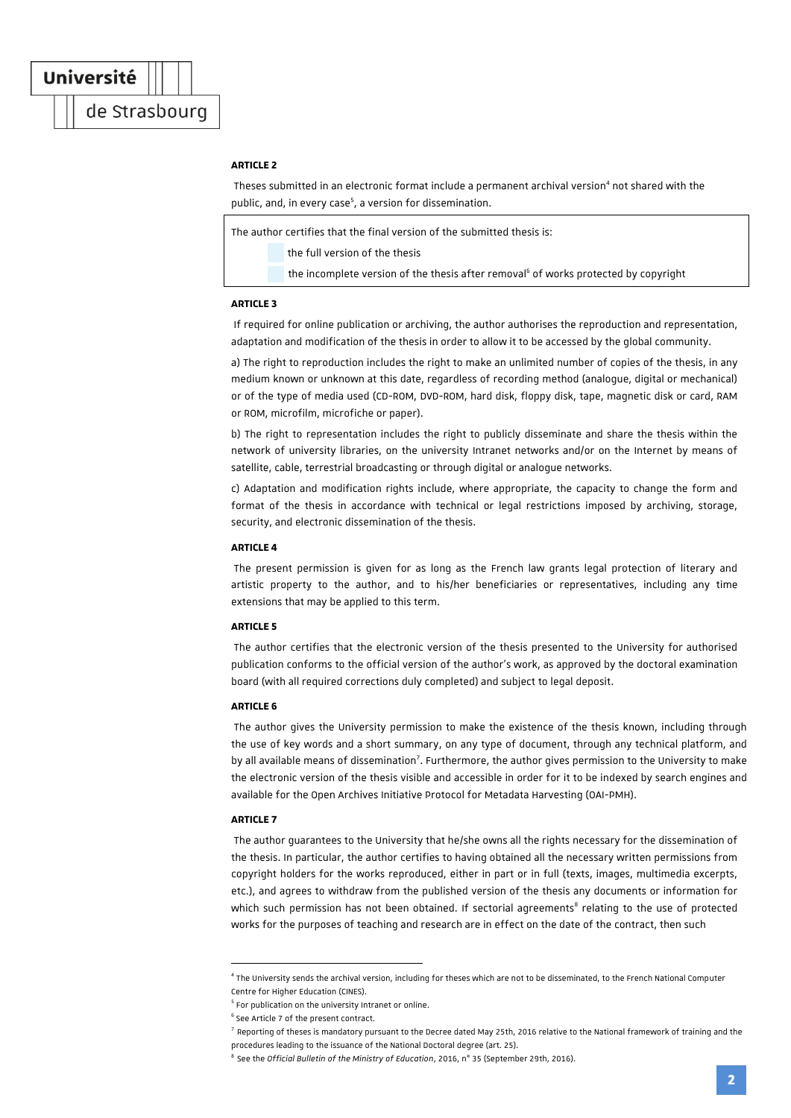de Strasbourg

## **ARTICLE 2**

Theses submitted in an electronic format include a permanent archival version<sup>4</sup> not shared with the public, and, in every case<sup>5</sup>, a version for dissemination.

The author certifies that the final version of the submitted thesis is:

the full version of the thesis

the incomplete version of the thesis after removal<sup>6</sup> of works protected by copyright

## **ADTICLE 3**

If required for online publication or archiving, the author authorises the reproduction and representation, adaptation and modification of the thesis in order to allow it to be accessed by the global community.

a) The right to reproduction includes the right to make an unlimited number of copies of the thesis, in any medium known or unknown at this date, regardless of recording method (analogue, digital or mechanical) or of the type of media used (CD-ROM, DVD-ROM, hard disk, floppy disk, tape, magnetic disk or card, RAM or ROM, microfilm, microfiche or paper).

b) The right to representation includes the right to publicly disseminate and share the thesis within the network of university libraries, on the university Intranet networks and/or on the Internet by means of satellite, cable, terrestrial broadcasting or through digital or analogue networks.

c) Adaptation and modification rights include, where appropriate, the capacity to change the form and format of the thesis in accordance with technical or legal restrictions imposed by archiving, storage, security, and electronic dissemination of the thesis.

#### **ADTICLE 4**

The present permission is given for as long as the French law grants legal protection of literary and artistic property to the author, and to his/her beneficiaries or representatives, including any time extensions that may be applied to this term.

## **ARTICLE 5**

The author certifies that the electronic version of the thesis presented to the University for authorised publication conforms to the official version of the author's work, as approved by the doctoral examination board (with all required corrections duly completed) and subject to legal deposit.

## **ARTICLE 6**

The author gives the University permission to make the existence of the thesis known, including through the use of key words and a short summary, on any type of document, through any technical platform, and by all available means of dissemination<sup>7</sup>. Furthermore, the author gives permission to the University to make the electronic version of the thesis visible and accessible in order for it to be indexed by search engines and available for the Open Archives Initiative Protocol for Metadata Harvesting (OAI-PMH).

## **ARTICLE 7**

1

The author guarantees to the University that he/she owns all the rights necessary for the dissemination of the thesis. In particular, the author certifies to having obtained all the necessary written permissions from copyright holders for the works reproduced, either in part or in full (texts, images, multimedia excerpts, etc.), and agrees to withdraw from the published version of the thesis any documents or information for which such permission has not been obtained. If sectorial agreements<sup>8</sup> relating to the use of protected works for the purposes of teaching and research are in effect on the date of the contract, then such

<sup>4</sup> The University sends the archival version, including for theses which are not to be disseminated, to the French National Computer Centre for Higher Education (CINES).

<sup>&</sup>lt;sup>5</sup> For publication on the university Intranet or online.

<sup>6</sup> See Article 7 of the present contract.

<sup>&</sup>lt;sup>7</sup> Reporting of theses is mandatory pursuant to the Decree dated May 25th, 2016 relative to the National framework of training and the procedures leading to the issuance of the National Doctoral degree (art. 25).

<sup>8</sup> See the *Official Bulletin of the Ministry of Education*, 2016, n° 35 (September 29th, 2016).